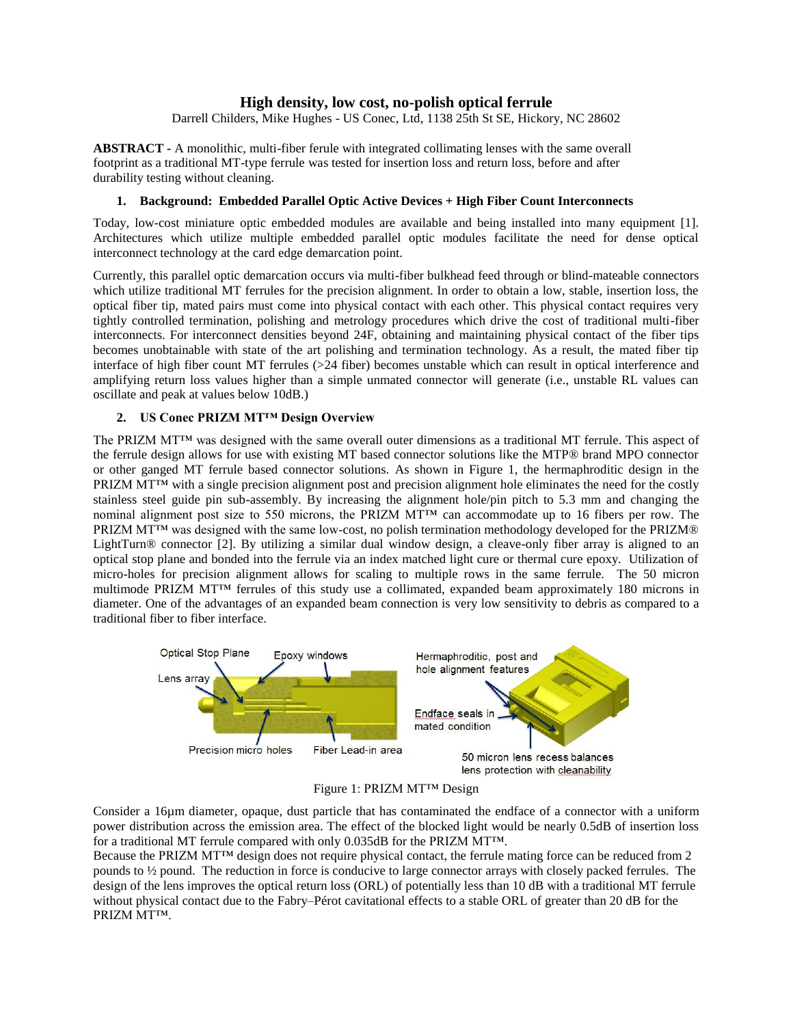# **High density, low cost, no-polish optical ferrule**

Darrell Childers, Mike Hughes - US Conec, Ltd, 1138 25th St SE, Hickory, NC 28602

**ABSTRACT -** A monolithic, multi-fiber ferule with integrated collimating lenses with the same overall footprint as a traditional MT-type ferrule was tested for insertion loss and return loss, before and after durability testing without cleaning.

#### **1. Background: Embedded Parallel Optic Active Devices + High Fiber Count Interconnects**

Today, low-cost miniature optic embedded modules are available and being installed into many equipment [1]. Architectures which utilize multiple embedded parallel optic modules facilitate the need for dense optical interconnect technology at the card edge demarcation point.

Currently, this parallel optic demarcation occurs via multi-fiber bulkhead feed through or blind-mateable connectors which utilize traditional MT ferrules for the precision alignment. In order to obtain a low, stable, insertion loss, the optical fiber tip, mated pairs must come into physical contact with each other. This physical contact requires very tightly controlled termination, polishing and metrology procedures which drive the cost of traditional multi-fiber interconnects. For interconnect densities beyond 24F, obtaining and maintaining physical contact of the fiber tips becomes unobtainable with state of the art polishing and termination technology. As a result, the mated fiber tip interface of high fiber count MT ferrules (>24 fiber) becomes unstable which can result in optical interference and amplifying return loss values higher than a simple unmated connector will generate (i.e., unstable RL values can oscillate and peak at values below 10dB.)

#### **2. US Conec PRIZM MT™ Design Overview**

The PRIZM MT™ was designed with the same overall outer dimensions as a traditional MT ferrule. This aspect of the ferrule design allows for use with existing MT based connector solutions like the MTP® brand MPO connector or other ganged MT ferrule based connector solutions. As shown in Figure 1, the hermaphroditic design in the PRIZM MT<sup>™</sup> with a single precision alignment post and precision alignment hole eliminates the need for the costly stainless steel guide pin sub-assembly. By increasing the alignment hole/pin pitch to 5.3 mm and changing the nominal alignment post size to 550 microns, the PRIZM MT<sup>™</sup> can accommodate up to 16 fibers per row. The PRIZM MT<sup>™</sup> was designed with the same low-cost, no polish termination methodology developed for the PRIZM<sup>®</sup> LightTurn® connector [2]. By utilizing a similar dual window design, a cleave-only fiber array is aligned to an optical stop plane and bonded into the ferrule via an index matched light cure or thermal cure epoxy. Utilization of micro-holes for precision alignment allows for scaling to multiple rows in the same ferrule. The 50 micron multimode PRIZM MT™ ferrules of this study use a collimated, expanded beam approximately 180 microns in diameter. One of the advantages of an expanded beam connection is very low sensitivity to debris as compared to a traditional fiber to fiber interface.





Consider a 16µm diameter, opaque, dust particle that has contaminated the endface of a connector with a uniform power distribution across the emission area. The effect of the blocked light would be nearly 0.5dB of insertion loss for a traditional MT ferrule compared with only 0.035dB for the PRIZM MT™.

Because the PRIZM MT™ design does not require physical contact, the ferrule mating force can be reduced from 2 pounds to ½ pound. The reduction in force is conducive to large connector arrays with closely packed ferrules. The design of the lens improves the optical return loss (ORL) of potentially less than 10 dB with a traditional MT ferrule without physical contact due to the Fabry–Pérot cavitational effects to a stable ORL of greater than 20 dB for the PRIZM MT™.